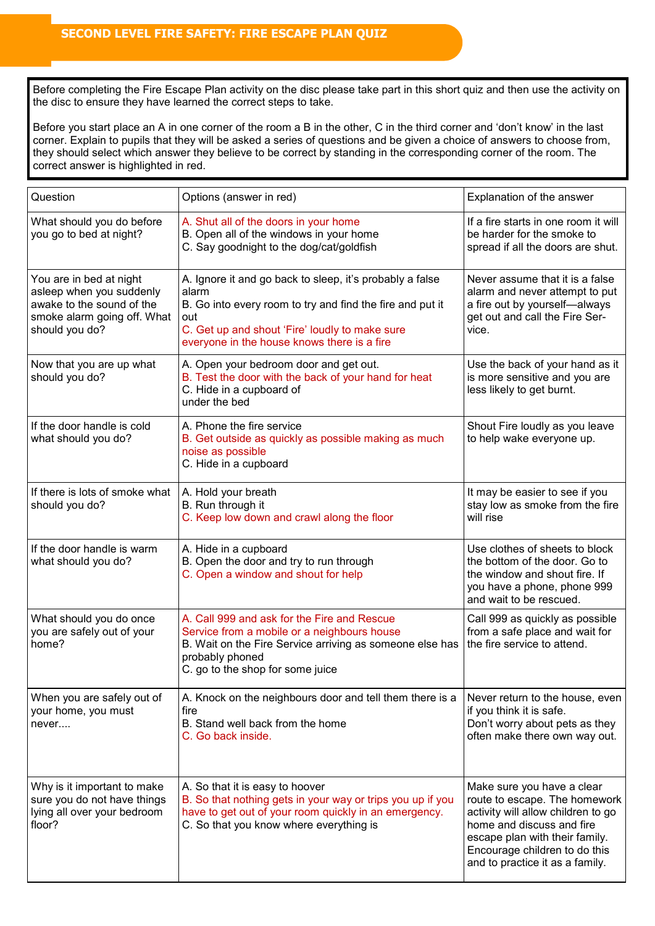Before completing the Fire Escape Plan activity on the disc please take part in this short quiz and then use the activity on the disc to ensure they have learned the correct steps to take.

Before you start place an A in one corner of the room a B in the other, C in the third corner and 'don't know' in the last corner. Explain to pupils that they will be asked a series of questions and be given a choice of answers to choose from, they should select which answer they believe to be correct by standing in the corresponding corner of the room. The correct answer is highlighted in red.

| Question                                                                                                                          | Options (answer in red)                                                                                                                                                                                                                | Explanation of the answer                                                                                                                                                                                                            |
|-----------------------------------------------------------------------------------------------------------------------------------|----------------------------------------------------------------------------------------------------------------------------------------------------------------------------------------------------------------------------------------|--------------------------------------------------------------------------------------------------------------------------------------------------------------------------------------------------------------------------------------|
| What should you do before<br>you go to bed at night?                                                                              | A. Shut all of the doors in your home<br>B. Open all of the windows in your home<br>C. Say goodnight to the dog/cat/goldfish                                                                                                           | If a fire starts in one room it will<br>be harder for the smoke to<br>spread if all the doors are shut.                                                                                                                              |
| You are in bed at night<br>asleep when you suddenly<br>awake to the sound of the<br>smoke alarm going off. What<br>should you do? | A. Ignore it and go back to sleep, it's probably a false<br>alarm<br>B. Go into every room to try and find the fire and put it<br>out<br>C. Get up and shout 'Fire' loudly to make sure<br>everyone in the house knows there is a fire | Never assume that it is a false<br>alarm and never attempt to put<br>a fire out by yourself-always<br>get out and call the Fire Ser-<br>vice.                                                                                        |
| Now that you are up what<br>should you do?                                                                                        | A. Open your bedroom door and get out.<br>B. Test the door with the back of your hand for heat<br>C. Hide in a cupboard of<br>under the bed                                                                                            | Use the back of your hand as it<br>is more sensitive and you are<br>less likely to get burnt.                                                                                                                                        |
| If the door handle is cold<br>what should you do?                                                                                 | A. Phone the fire service<br>B. Get outside as quickly as possible making as much<br>noise as possible<br>C. Hide in a cupboard                                                                                                        | Shout Fire loudly as you leave<br>to help wake everyone up.                                                                                                                                                                          |
| If there is lots of smoke what<br>should you do?                                                                                  | A. Hold your breath<br>B. Run through it<br>C. Keep low down and crawl along the floor                                                                                                                                                 | It may be easier to see if you<br>stay low as smoke from the fire<br>will rise                                                                                                                                                       |
| If the door handle is warm<br>what should you do?                                                                                 | A. Hide in a cupboard<br>B. Open the door and try to run through<br>C. Open a window and shout for help                                                                                                                                | Use clothes of sheets to block<br>the bottom of the door. Go to<br>the window and shout fire. If<br>you have a phone, phone 999<br>and wait to be rescued.                                                                           |
| What should you do once<br>you are safely out of your<br>home?                                                                    | A. Call 999 and ask for the Fire and Rescue<br>Service from a mobile or a neighbours house<br>B. Wait on the Fire Service arriving as someone else has<br>probably phoned<br>C. go to the shop for some juice                          | Call 999 as quickly as possible<br>from a safe place and wait for<br>the fire service to attend.                                                                                                                                     |
| When you are safely out of<br>your home, you must<br>never                                                                        | A. Knock on the neighbours door and tell them there is a<br>fire<br>B. Stand well back from the home<br>C. Go back inside.                                                                                                             | Never return to the house, even<br>if you think it is safe.<br>Don't worry about pets as they<br>often make there own way out.                                                                                                       |
| Why is it important to make<br>sure you do not have things<br>lying all over your bedroom<br>floor?                               | A. So that it is easy to hoover<br>B. So that nothing gets in your way or trips you up if you<br>have to get out of your room quickly in an emergency.<br>C. So that you know where everything is                                      | Make sure you have a clear<br>route to escape. The homework<br>activity will allow children to go<br>home and discuss and fire<br>escape plan with their family.<br>Encourage children to do this<br>and to practice it as a family. |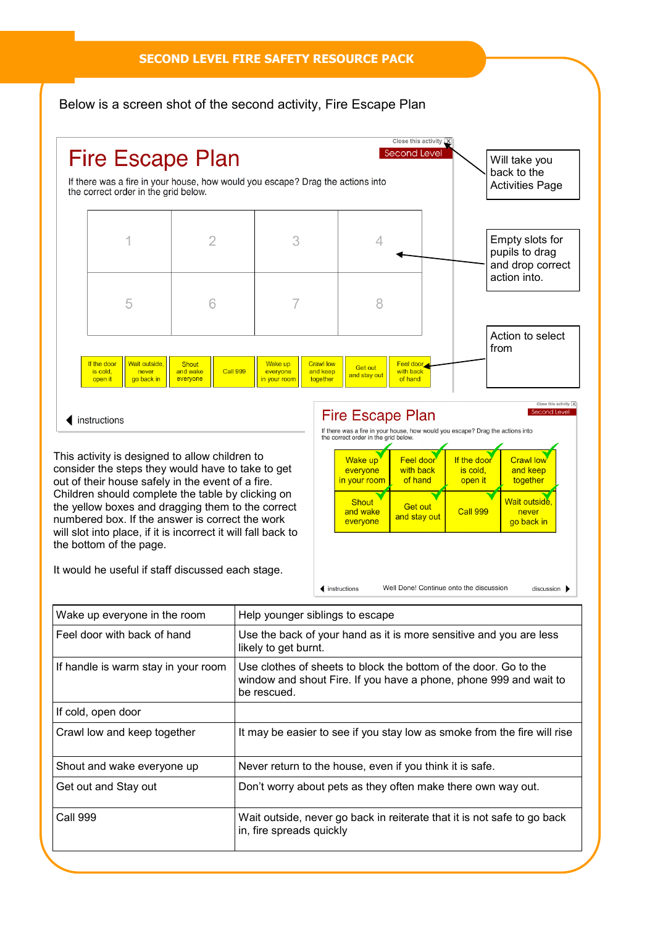## **SECOND LEVEL FIRE SAFETY RESOURCE PACK**

## Below is a screen shot of the second activity, Fire Escape Plan



This activity is designed to allow children to consider the steps they would have to take to get out of their house safely in the event of a fire. Children should complete the table by clicking on the yellow boxes and dragging them to the correct numbered box. If the answer is correct the work will slot into place, if it is incorrect it will fall back to the bottom of the page.

 $\triangleleft$  instructions

It would he useful if staff discussed each stage.

# **Fire Escape Plan**

 $discussion$ 



Well Done! Continue onto the discussion  $\blacktriangleleft$  instructions

| Wake up everyone in the room        | Help younger siblings to escape                                                                                                                      |
|-------------------------------------|------------------------------------------------------------------------------------------------------------------------------------------------------|
| Feel door with back of hand         | Use the back of your hand as it is more sensitive and you are less<br>likely to get burnt.                                                           |
| If handle is warm stay in your room | Use clothes of sheets to block the bottom of the door. Go to the<br>window and shout Fire. If you have a phone, phone 999 and wait to<br>be rescued. |
| If cold, open door                  |                                                                                                                                                      |
| Crawl low and keep together         | It may be easier to see if you stay low as smoke from the fire will rise                                                                             |
| Shout and wake everyone up          | Never return to the house, even if you think it is safe.                                                                                             |
| Get out and Stay out                | Don't worry about pets as they often make there own way out.                                                                                         |
| Call 999                            | Wait outside, never go back in reiterate that it is not safe to go back<br>in, fire spreads quickly                                                  |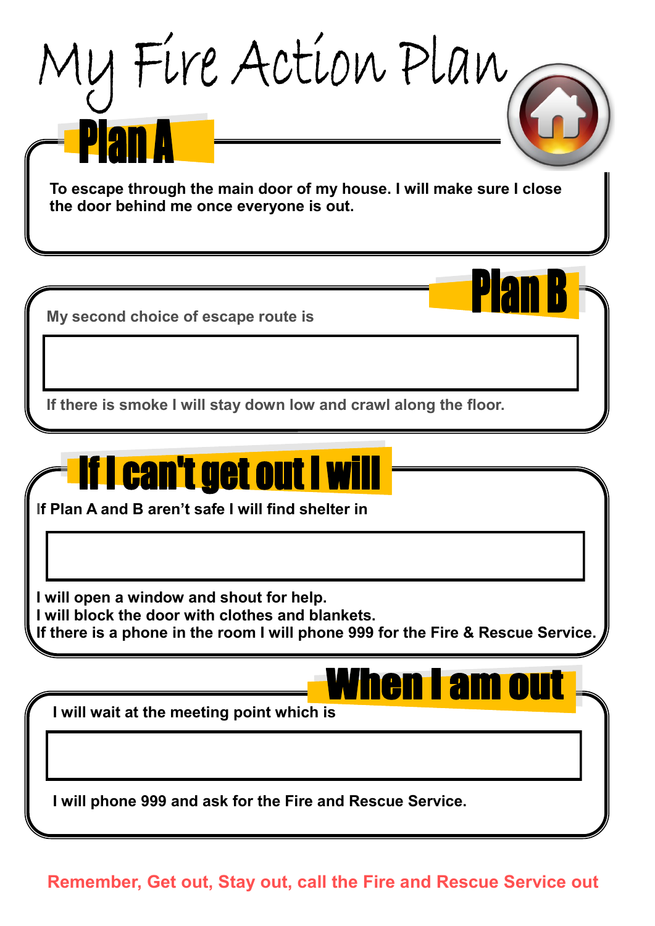

**Remember, Get out, Stay out, call the Fire and Rescue Service out**